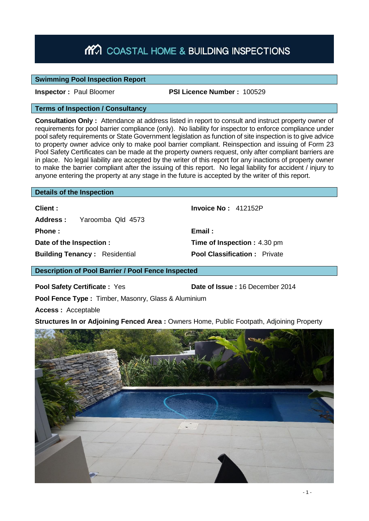# MO COASTAL HOME & BUILDING INSPECTIONS

### **Swimming Pool Inspection Report**

**Inspector :** Paul Bloomer **PSI Licence Number :** 100529

### **Terms of Inspection / Consultancy**

**Consultation Only :** Attendance at address listed in report to consult and instruct property owner of requirements for pool barrier compliance (only). No liability for inspector to enforce compliance under pool safety requirements or State Government legislation as function of site inspection is to give advice to property owner advice only to make pool barrier compliant. Reinspection and issuing of Form 23 Pool Safety Certificates can be made at the property owners request, only after compliant barriers are in place. No legal liability are accepted by the writer of this report for any inactions of property owner to make the barrier compliant after the issuing of this report. No legal liability for accident / injury to anyone entering the property at any stage in the future is accepted by the writer of this report.

#### **Details of the Inspection**

| Client :                             | Invoice $No: 412152P$               |
|--------------------------------------|-------------------------------------|
| <b>Address:</b> Yaroomba Qld 4573    |                                     |
| <b>Phone</b> :                       | Email:                              |
| Date of the Inspection :             | <b>Time of Inspection: 4.30 pm</b>  |
| <b>Building Tenancy: Residential</b> | <b>Pool Classification: Private</b> |

**Description of Pool Barrier / Pool Fence Inspected**

**Pool Safety Certificate :** Yes **Date of Issue :** 16 December 2014

**Pool Fence Type :** Timber, Masonry, Glass & Aluminium

**Access :** Acceptable

**Structures In or Adjoining Fenced Area :** Owners Home, Public Footpath, Adjoining Property

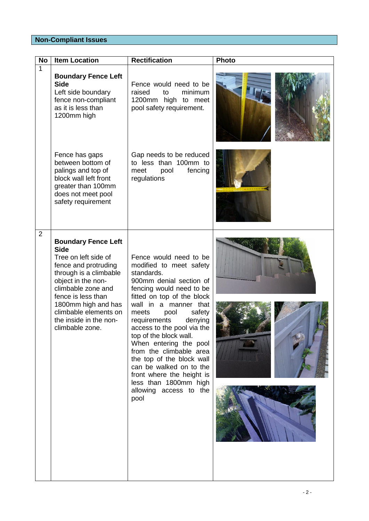## **Non-Compliant Issues**

| <b>No</b>      | <b>Item Location</b>                                                                                                                                                                                                                                                               | <b>Rectification</b>                                                                                                                                                                                                                                                                                                                                                                                                                                                                             | <b>Photo</b> |
|----------------|------------------------------------------------------------------------------------------------------------------------------------------------------------------------------------------------------------------------------------------------------------------------------------|--------------------------------------------------------------------------------------------------------------------------------------------------------------------------------------------------------------------------------------------------------------------------------------------------------------------------------------------------------------------------------------------------------------------------------------------------------------------------------------------------|--------------|
| $\mathbf{1}$   | <b>Boundary Fence Left</b><br><b>Side</b><br>Left side boundary<br>fence non-compliant<br>as it is less than<br>1200mm high                                                                                                                                                        | Fence would need to be<br>raised<br>to<br>minimum<br>1200mm high to meet<br>pool safety requirement.                                                                                                                                                                                                                                                                                                                                                                                             |              |
|                | Fence has gaps<br>between bottom of<br>palings and top of<br>block wall left front<br>greater than 100mm<br>does not meet pool<br>safety requirement                                                                                                                               | Gap needs to be reduced<br>to less than 100mm to<br>fencing<br>meet<br>pool<br>regulations                                                                                                                                                                                                                                                                                                                                                                                                       |              |
| $\overline{2}$ | <b>Boundary Fence Left</b><br><b>Side</b><br>Tree on left side of<br>fence and protruding<br>through is a climbable<br>object in the non-<br>climbable zone and<br>fence is less than<br>1800mm high and has<br>climbable elements on<br>the inside in the non-<br>climbable zone. | Fence would need to be<br>modified to meet safety<br>standards.<br>900mm denial section of<br>fencing would need to be<br>fitted on top of the block<br>wall in a manner that<br>meets<br>pool<br>safety<br>requirements<br>denying<br>access to the pool via the<br>top of the block wall.<br>When entering the pool<br>from the climbable area<br>the top of the block wall<br>can be walked on to the<br>front where the height is<br>less than 1800mm high<br>allowing access to the<br>pool |              |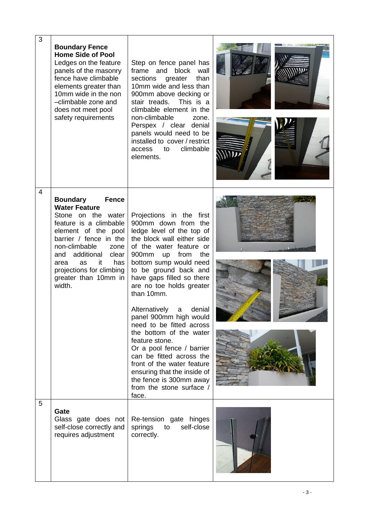| 3 | <b>Boundary Fence</b><br><b>Home Side of Pool</b><br>Ledges on the feature<br>panels of the masonry<br>fence have climbable<br>elements greater than<br>10mm wide in the non<br>-climbable zone and<br>does not meet pool<br>safety requirements                                                                | Step on fence panel has<br>frame and block<br>wall<br>sections<br>greater<br>than<br>10mm wide and less than<br>900mm above decking or<br>This is a<br>stair treads.<br>climbable element in the<br>non-climbable<br>zone.<br>Perspex / clear denial<br>panels would need to be<br>installed to cover / restrict<br>climbable<br>access to<br>elements.                                                                                                                                                                                                                                                                |  |
|---|-----------------------------------------------------------------------------------------------------------------------------------------------------------------------------------------------------------------------------------------------------------------------------------------------------------------|------------------------------------------------------------------------------------------------------------------------------------------------------------------------------------------------------------------------------------------------------------------------------------------------------------------------------------------------------------------------------------------------------------------------------------------------------------------------------------------------------------------------------------------------------------------------------------------------------------------------|--|
| 4 | <b>Fence</b><br><b>Boundary</b><br><b>Water Feature</b><br>Stone on the water<br>feature is a climbable<br>element of the pool<br>barrier / fence in the<br>non-climbable<br>zone<br>additional<br>clear<br>and<br>it<br>has<br><b>as</b><br>area<br>projections for climbing<br>greater than 10mm in<br>width. | Projections in the first<br>900mm down from the<br>ledge level of the top of<br>the block wall either side<br>of the water feature or<br>900mm<br>from<br>the<br>up<br>bottom sump would need<br>to be ground back and<br>have gaps filled so there<br>are no toe holds greater<br>than 10mm.<br>Alternatively<br>denial<br>a<br>panel 900mm high would<br>need to be fitted across<br>the bottom of the water<br>feature stone.<br>Or a pool fence / barrier<br>can be fitted across the<br>front of the water feature<br>ensuring that the inside of<br>the fence is 300mm away<br>from the stone surface /<br>face. |  |
| 5 | Gate<br>Glass gate does not<br>self-close correctly and<br>requires adjustment                                                                                                                                                                                                                                  | Re-tension gate hinges<br>self-close<br>springs<br>to<br>correctly.                                                                                                                                                                                                                                                                                                                                                                                                                                                                                                                                                    |  |